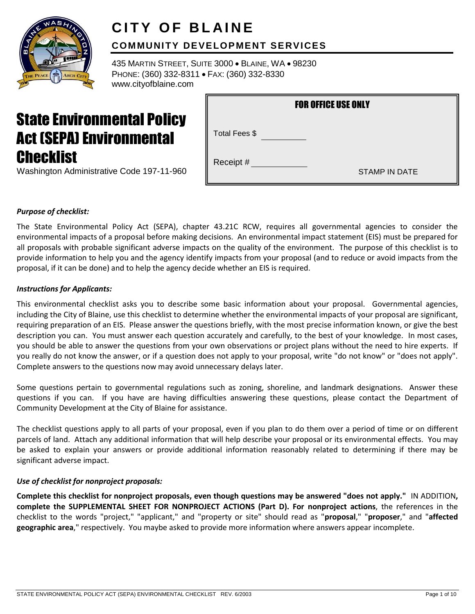

# **CITY OF BLAINE**

# **COMMUNITY DEVELOPMENT SERVICES**

435 MARTIN STREET, SUITE 3000 BLAINE, WA 98230 PHONE: (360) 332-8311 · FAX: (360) 332-8330 www.cityofblaine.com

# State Environmental Policy Act (SEPA) Environmental **Checklist**

| Washington Administrative Code 197-11-960 |  |
|-------------------------------------------|--|
|                                           |  |

| <b>FOR OFFICE USE ONLY</b> |                      |  |  |
|----------------------------|----------------------|--|--|
| Total Fees \$              |                      |  |  |
| Receipt #                  | <b>STAMP IN DATE</b> |  |  |

# *Purpose of checklist:*

The State Environmental Policy Act (SEPA), chapter 43.21C RCW, requires all governmental agencies to consider the environmental impacts of a proposal before making decisions. An environmental impact statement (EIS) must be prepared for all proposals with probable significant adverse impacts on the quality of the environment. The purpose of this checklist is to provide information to help you and the agency identify impacts from your proposal (and to reduce or avoid impacts from the proposal, if it can be done) and to help the agency decide whether an EIS is required.

# *Instructions for Applicants:*

This environmental checklist asks you to describe some basic information about your proposal. Governmental agencies, including the City of Blaine, use this checklist to determine whether the environmental impacts of your proposal are significant, requiring preparation of an EIS. Please answer the questions briefly, with the most precise information known, or give the best description you can. You must answer each question accurately and carefully, to the best of your knowledge. In most cases, you should be able to answer the questions from your own observations or project plans without the need to hire experts. If you really do not know the answer, or if a question does not apply to your proposal, write "do not know" or "does not apply". Complete answers to the questions now may avoid unnecessary delays later.

Some questions pertain to governmental regulations such as zoning, shoreline, and landmark designations. Answer these questions if you can. If you have are having difficulties answering these questions, please contact the Department of Community Development at the City of Blaine for assistance.

The checklist questions apply to all parts of your proposal, even if you plan to do them over a period of time or on different parcels of land. Attach any additional information that will help describe your proposal or its environmental effects. You may be asked to explain your answers or provide additional information reasonably related to determining if there may be significant adverse impact.

# *Use of checklist for nonproject proposals:*

**Complete this checklist for nonproject proposals, even though questions may be answered "does not apply."** IN ADDITION**, complete the SUPPLEMENTAL SHEET FOR NONPROJECT ACTIONS (Part D). For nonproject actions**, the references in the checklist to the words "project," "applicant," and "property or site" should read as "**proposal**," "**proposer**," and "**affected geographic area**," respectively. You maybe asked to provide more information where answers appear incomplete.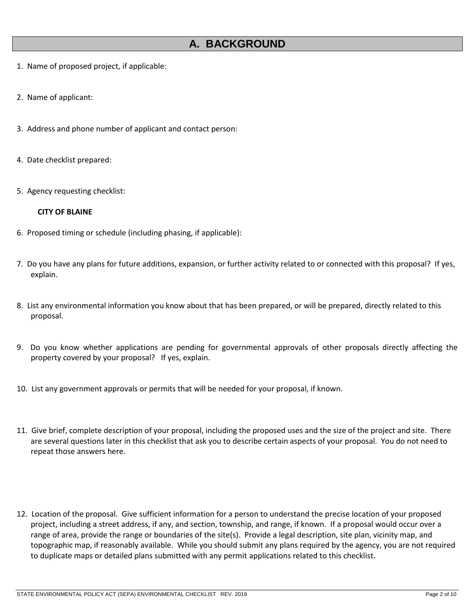# **A. BACKGROUND**

- 1. Name of proposed project, if applicable:
- 2. Name of applicant:
- 3. Address and phone number of applicant and contact person:
- 4. Date checklist prepared:
- 5. Agency requesting checklist:

#### **CITY OF BLAINE**

- 6. Proposed timing or schedule (including phasing, if applicable):
- 7. Do you have any plans for future additions, expansion, or further activity related to or connected with this proposal? If yes, explain.
- 8. List any environmental information you know about that has been prepared, or will be prepared, directly related to this proposal.
- 9. Do you know whether applications are pending for governmental approvals of other proposals directly affecting the property covered by your proposal? If yes, explain.
- 10. List any government approvals or permits that will be needed for your proposal, if known.
- 11. Give brief, complete description of your proposal, including the proposed uses and the size of the project and site. There are several questions later in this checklist that ask you to describe certain aspects of your proposal. You do not need to repeat those answers here.
- 12. Location of the proposal. Give sufficient information for a person to understand the precise location of your proposed project, including a street address, if any, and section, township, and range, if known. If a proposal would occur over a range of area, provide the range or boundaries of the site(s). Provide a legal description, site plan, vicinity map, and topographic map, if reasonably available. While you should submit any plans required by the agency, you are not required to duplicate maps or detailed plans submitted with any permit applications related to this checklist*.*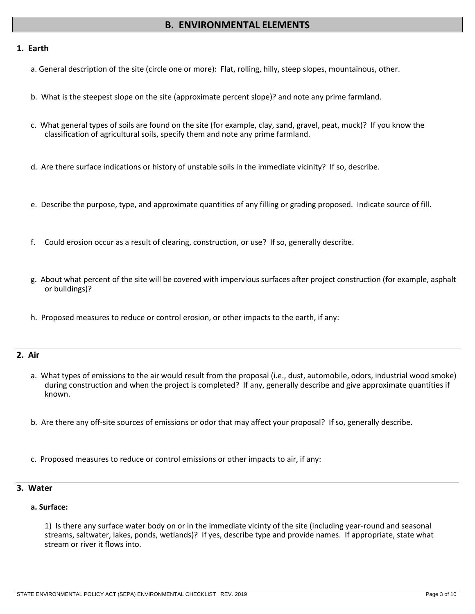# **B. ENVIRONMENTAL ELEMENTS**

#### **1. Earth**

- a. General description of the site (circle one or more): Flat, rolling, hilly, steep slopes, mountainous, other.
- b. What is the steepest slope on the site (approximate percent slope)? and note any prime farmland.
- c. What general types of soils are found on the site (for example, clay, sand, gravel, peat, muck)? If you know the classification of agricultural soils, specify them and note any prime farmland.
- d. Are there surface indications or history of unstable soils in the immediate vicinity? If so, describe.
- e. Describe the purpose, type, and approximate quantities of any filling or grading proposed. Indicate source of fill.
- f. Could erosion occur as a result of clearing, construction, or use? If so, generally describe.
- g. About what percent of the site will be covered with impervious surfaces after project construction (for example, asphalt or buildings)?
- h. Proposed measures to reduce or control erosion, or other impacts to the earth, if any:

#### **2. Air**

- a. What types of emissions to the air would result from the proposal (i.e., dust, automobile, odors, industrial wood smoke) during construction and when the project is completed? If any, generally describe and give approximate quantities if known.
- b. Are there any off-site sources of emissions or odor that may affect your proposal? If so, generally describe.
- c. Proposed measures to reduce or control emissions or other impacts to air, if any:

#### **3. Water**

#### **a. Surface:**

1) Is there any surface water body on or in the immediate vicinty of the site (including year-round and seasonal streams, saltwater, lakes, ponds, wetlands)? If yes, describe type and provide names. If appropriate, state what stream or river it flows into.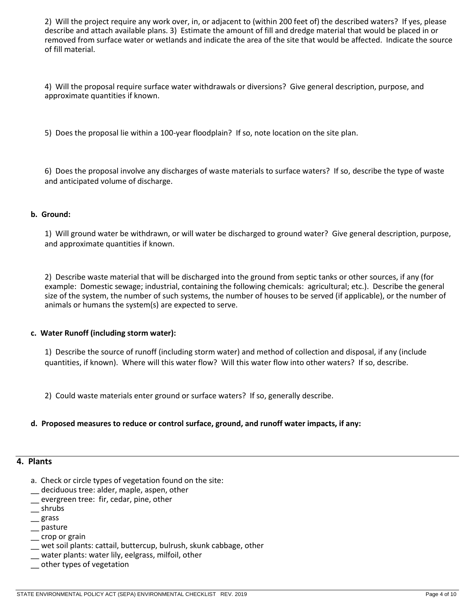2) Will the project require any work over, in, or adjacent to (within 200 feet of) the described waters? If yes, please describe and attach available plans. 3) Estimate the amount of fill and dredge material that would be placed in or removed from surface water or wetlands and indicate the area of the site that would be affected. Indicate the source of fill material.

4) Will the proposal require surface water withdrawals or diversions? Give general description, purpose, and approximate quantities if known.

5) Does the proposal lie within a 100-year floodplain? If so, note location on the site plan.

6) Does the proposal involve any discharges of waste materials to surface waters? If so, describe the type of waste and anticipated volume of discharge.

#### **b. Ground:**

1) Will ground water be withdrawn, or will water be discharged to ground water? Give general description, purpose, and approximate quantities if known.

2) Describe waste material that will be discharged into the ground from septic tanks or other sources, if any (for example: Domestic sewage; industrial, containing the following chemicals: agricultural; etc.). Describe the general size of the system, the number of such systems, the number of houses to be served (if applicable), or the number of animals or humans the system(s) are expected to serve.

#### **c. Water Runoff (including storm water):**

1) Describe the source of runoff (including storm water) and method of collection and disposal, if any (include quantities, if known). Where will this water flow? Will this water flow into other waters? If so, describe.

2) Could waste materials enter ground or surface waters? If so, generally describe.

#### **d. Proposed measures to reduce or control surface, ground, and runoff water impacts, if any:**

#### **4. Plants**

- a. Check or circle types of vegetation found on the site:
- \_\_ deciduous tree: alder, maple, aspen, other
- \_\_ evergreen tree: fir, cedar, pine, other
- \_\_ shrubs
- \_\_ grass
- \_\_ pasture
- \_\_ crop or grain
- \_\_ wet soil plants: cattail, buttercup, bulrush, skunk cabbage, other
- \_\_ water plants: water lily, eelgrass, milfoil, other
- \_\_ other types of vegetation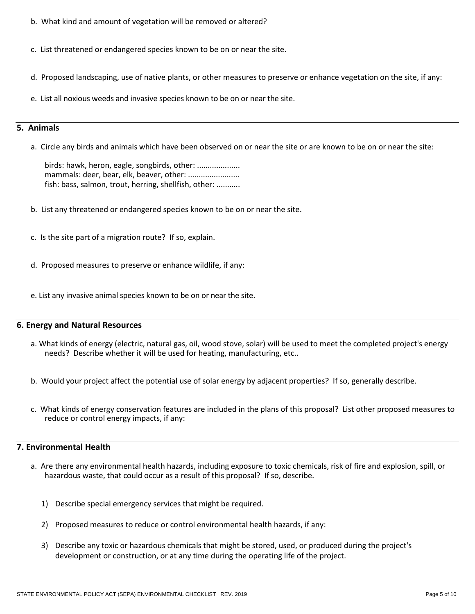- b. What kind and amount of vegetation will be removed or altered?
- c. List threatened or endangered species known to be on or near the site.
- d. Proposed landscaping, use of native plants, or other measures to preserve or enhance vegetation on the site, if any:
- e. List all noxious weeds and invasive species known to be on or near the site.

## **5. Animals**

a. Circle any birds and animals which have been observed on or near the site or are known to be on or near the site:

birds: hawk, heron, eagle, songbirds, other: .................... mammals: deer, bear, elk, beaver, other: ........................ fish: bass, salmon, trout, herring, shellfish, other: ...........

- b. List any threatened or endangered species known to be on or near the site.
- c. Is the site part of a migration route? If so, explain.
- d. Proposed measures to preserve or enhance wildlife, if any:
- e. List any invasive animal species known to be on or near the site.

# **6. Energy and Natural Resources**

- a. What kinds of energy (electric, natural gas, oil, wood stove, solar) will be used to meet the completed project's energy needs? Describe whether it will be used for heating, manufacturing, etc..
- b. Would your project affect the potential use of solar energy by adjacent properties? If so, generally describe.
- c. What kinds of energy conservation features are included in the plans of this proposal? List other proposed measures to reduce or control energy impacts, if any:

# **7. Environmental Health**

- a. Are there any environmental health hazards, including exposure to toxic chemicals, risk of fire and explosion, spill, or hazardous waste, that could occur as a result of this proposal? If so, describe.
	- 1) Describe special emergency services that might be required.
	- 2) Proposed measures to reduce or control environmental health hazards, if any:
	- 3) Describe any toxic or hazardous chemicals that might be stored, used, or produced during the project's development or construction, or at any time during the operating life of the project.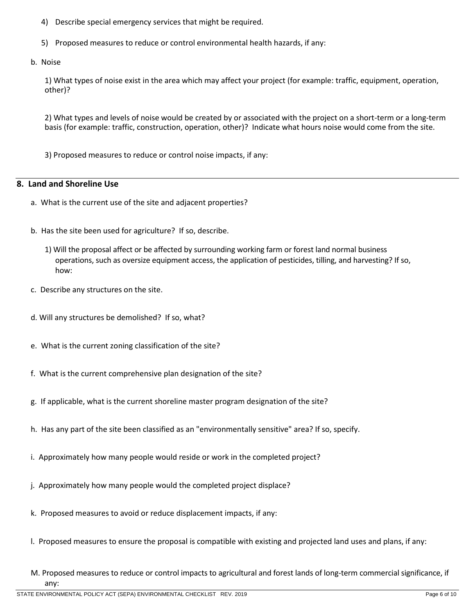- 4) Describe special emergency services that might be required.
- 5) Proposed measures to reduce or control environmental health hazards, if any:
- b. Noise

1) What types of noise exist in the area which may affect your project (for example: traffic, equipment, operation, other)?

2) What types and levels of noise would be created by or associated with the project on a short-term or a long-term basis (for example: traffic, construction, operation, other)? Indicate what hours noise would come from the site.

3) Proposed measures to reduce or control noise impacts, if any:

# **8. Land and Shoreline Use**

- a. What is the current use of the site and adjacent properties?
- b. Has the site been used for agriculture? If so, describe.
	- 1) Will the proposal affect or be affected by surrounding working farm or forest land normal business operations, such as oversize equipment access, the application of pesticides, tilling, and harvesting? If so, how:
- c. Describe any structures on the site.
- d. Will any structures be demolished? If so, what?
- e. What is the current zoning classification of the site?
- f. What is the current comprehensive plan designation of the site?
- g. If applicable, what is the current shoreline master program designation of the site?
- h. Has any part of the site been classified as an "environmentally sensitive" area? If so, specify.
- i. Approximately how many people would reside or work in the completed project?
- j. Approximately how many people would the completed project displace?
- k. Proposed measures to avoid or reduce displacement impacts, if any:
- l. Proposed measures to ensure the proposal is compatible with existing and projected land uses and plans, if any:
- M. Proposed measures to reduce or control impacts to agricultural and forest lands of long-term commercial significance, if any: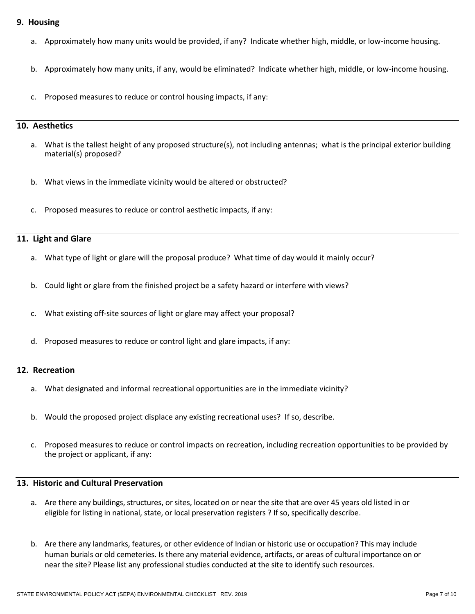#### **9. Housing**

- a. Approximately how many units would be provided, if any? Indicate whether high, middle, or low-income housing.
- b. Approximately how many units, if any, would be eliminated? Indicate whether high, middle, or low-income housing.
- c. Proposed measures to reduce or control housing impacts, if any:

#### **10. Aesthetics**

- a. What is the tallest height of any proposed structure(s), not including antennas; what is the principal exterior building material(s) proposed?
- b. What views in the immediate vicinity would be altered or obstructed?
- Proposed measures to reduce or control aesthetic impacts, if any:

### **11. Light and Glare**

- a. What type of light or glare will the proposal produce? What time of day would it mainly occur?
- b. Could light or glare from the finished project be a safety hazard or interfere with views?
- c. What existing off-site sources of light or glare may affect your proposal?
- d. Proposed measures to reduce or control light and glare impacts, if any:

### **12. Recreation**

- a. What designated and informal recreational opportunities are in the immediate vicinity?
- b. Would the proposed project displace any existing recreational uses? If so, describe.
- c. Proposed measures to reduce or control impacts on recreation, including recreation opportunities to be provided by the project or applicant, if any:

# **13. Historic and Cultural Preservation**

- a. Are there any buildings, structures, or sites, located on or near the site that are over 45 years old listed in or eligible for listing in national, state, or local preservation registers ? If so, specifically describe.
- b. Are there any landmarks, features, or other evidence of Indian or historic use or occupation? This may include human burials or old cemeteries. Is there any material evidence, artifacts, or areas of cultural importance on or near the site? Please list any professional studies conducted at the site to identify such resources.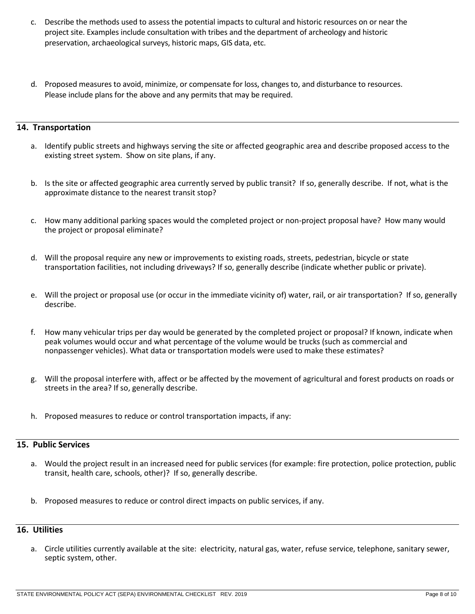- c. Describe the methods used to assess the potential impacts to cultural and historic resources on or near the project site. Examples include consultation with tribes and the department of archeology and historic preservation, archaeological surveys, historic maps, GIS data, etc.
- d. Proposed measures to avoid, minimize, or compensate for loss, changes to, and disturbance to resources. Please include plans for the above and any permits that may be required.

#### **14. Transportation**

- a. Identify public streets and highways serving the site or affected geographic area and describe proposed access to the existing street system. Show on site plans, if any.
- b. Is the site or affected geographic area currently served by public transit? If so, generally describe. If not, what is the approximate distance to the nearest transit stop?
- c. How many additional parking spaces would the completed project or non-project proposal have? How many would the project or proposal eliminate?
- d. Will the proposal require any new or improvements to existing roads, streets, pedestrian, bicycle or state transportation facilities, not including driveways? If so, generally describe (indicate whether public or private).
- e. Will the project or proposal use (or occur in the immediate vicinity of) water, rail, or air transportation? If so, generally describe.
- f. How many vehicular trips per day would be generated by the completed project or proposal? If known, indicate when peak volumes would occur and what percentage of the volume would be trucks (such as commercial and nonpassenger vehicles). What data or transportation models were used to make these estimates?
- g. Will the proposal interfere with, affect or be affected by the movement of agricultural and forest products on roads or streets in the area? If so, generally describe.
- h. Proposed measures to reduce or control transportation impacts, if any:

# **15. Public Services**

- a. Would the project result in an increased need for public services (for example: fire protection, police protection, public transit, health care, schools, other)? If so, generally describe.
- b. Proposed measures to reduce or control direct impacts on public services, if any.

# **16. Utilities**

a. Circle utilities currently available at the site: electricity, natural gas, water, refuse service, telephone, sanitary sewer, septic system, other.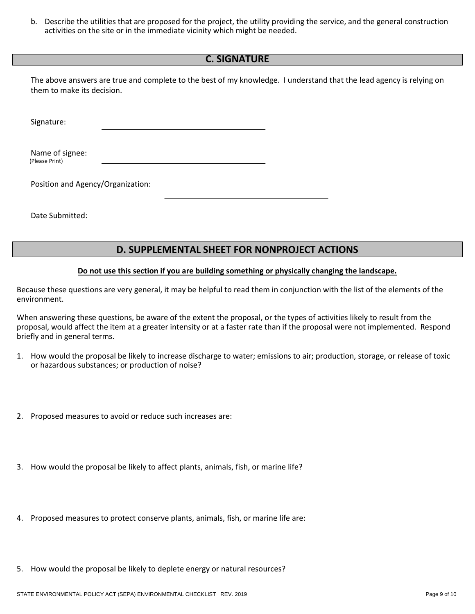b. Describe the utilities that are proposed for the project, the utility providing the service, and the general construction activities on the site or in the immediate vicinity which might be needed.

# **C. SIGNATURE**

The above answers are true and complete to the best of my knowledge. I understand that the lead agency is relying on them to make its decision.

Signature:

Name of signee: (Please Print)

Position and Agency/Organization:

Date Submitted:

# **D. SUPPLEMENTAL SHEET FOR NONPROJECT ACTIONS**

#### **Do not use this section if you are building something or physically changing the landscape.**

Because these questions are very general, it may be helpful to read them in conjunction with the list of the elements of the environment.

When answering these questions, be aware of the extent the proposal, or the types of activities likely to result from the proposal, would affect the item at a greater intensity or at a faster rate than if the proposal were not implemented. Respond briefly and in general terms.

- 1. How would the proposal be likely to increase discharge to water; emissions to air; production, storage, or release of toxic or hazardous substances; or production of noise?
- 2. Proposed measures to avoid or reduce such increases are:
- 3. How would the proposal be likely to affect plants, animals, fish, or marine life?
- 4. Proposed measures to protect conserve plants, animals, fish, or marine life are:
- 5. How would the proposal be likely to deplete energy or natural resources?